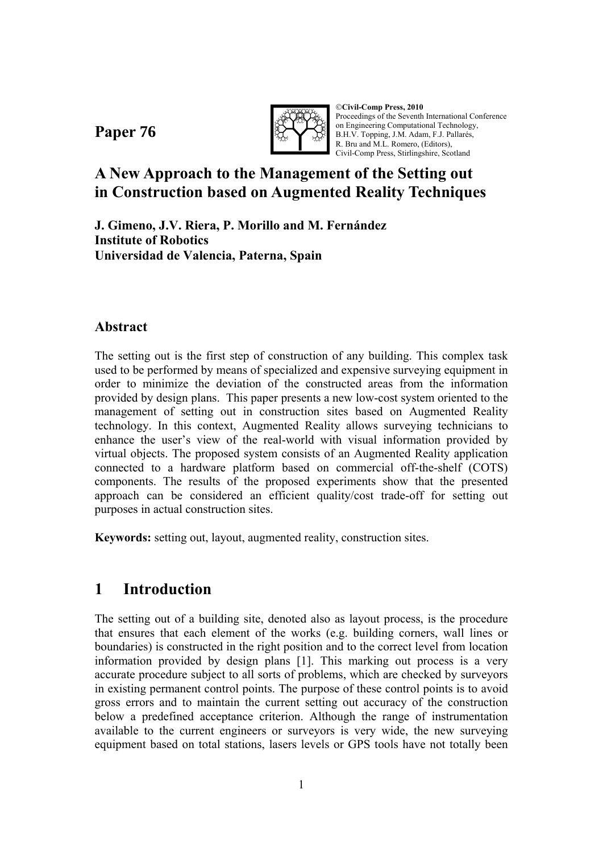**Paper 76**



©**Civil-Comp Press, 2010**  Proceedings of the Seventh International Conference on Engineering Computational Technology, B.H.V. Topping, J.M. Adam, F.J. Pallarés, R. Bru and M.L. Romero, (Editors), Civil-Comp Press, Stirlingshire, Scotland

# **A New Approach to the Management of the Setting out in Construction based on Augmented Reality Techniques**

**J. Gimeno, J.V. Riera, P. Morillo and M. Fernández Institute of Robotics Universidad de Valencia, Paterna, Spain** 

### **Abstract**

The setting out is the first step of construction of any building. This complex task used to be performed by means of specialized and expensive surveying equipment in order to minimize the deviation of the constructed areas from the information provided by design plans. This paper presents a new low-cost system oriented to the management of setting out in construction sites based on Augmented Reality technology. In this context, Augmented Reality allows surveying technicians to enhance the user's view of the real-world with visual information provided by virtual objects. The proposed system consists of an Augmented Reality application connected to a hardware platform based on commercial off-the-shelf (COTS) components. The results of the proposed experiments show that the presented approach can be considered an efficient quality/cost trade-off for setting out purposes in actual construction sites.

**Keywords:** setting out, layout, augmented reality, construction sites.

# **1 Introduction**

The setting out of a building site, denoted also as layout process, is the procedure that ensures that each element of the works (e.g. building corners, wall lines or boundaries) is constructed in the right position and to the correct level from location information provided by design plans [1]. This marking out process is a very accurate procedure subject to all sorts of problems, which are checked by surveyors in existing permanent control points. The purpose of these control points is to avoid gross errors and to maintain the current setting out accuracy of the construction below a predefined acceptance criterion. Although the range of instrumentation available to the current engineers or surveyors is very wide, the new surveying equipment based on total stations, lasers levels or GPS tools have not totally been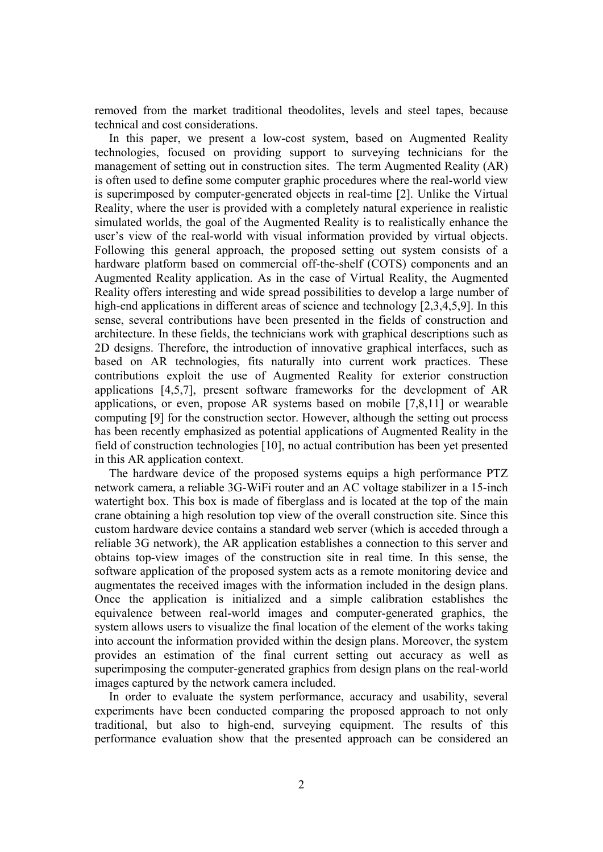removed from the market traditional theodolites, levels and steel tapes, because technical and cost considerations.

In this paper, we present a low-cost system, based on Augmented Reality technologies, focused on providing support to surveying technicians for the management of setting out in construction sites. The term Augmented Reality (AR) is often used to define some computer graphic procedures where the real-world view is superimposed by computer-generated objects in real-time [2]. Unlike the Virtual Reality, where the user is provided with a completely natural experience in realistic simulated worlds, the goal of the Augmented Reality is to realistically enhance the user's view of the real-world with visual information provided by virtual objects. Following this general approach, the proposed setting out system consists of a hardware platform based on commercial off-the-shelf (COTS) components and an Augmented Reality application. As in the case of Virtual Reality, the Augmented Reality offers interesting and wide spread possibilities to develop a large number of high-end applications in different areas of science and technology [2,3,4,5,9]. In this sense, several contributions have been presented in the fields of construction and architecture. In these fields, the technicians work with graphical descriptions such as 2D designs. Therefore, the introduction of innovative graphical interfaces, such as based on AR technologies, fits naturally into current work practices. These contributions exploit the use of Augmented Reality for exterior construction applications [4,5,7], present software frameworks for the development of AR applications, or even, propose AR systems based on mobile [7,8,11] or wearable computing [9] for the construction sector. However, although the setting out process has been recently emphasized as potential applications of Augmented Reality in the field of construction technologies [10], no actual contribution has been yet presented in this AR application context.

The hardware device of the proposed systems equips a high performance PTZ network camera, a reliable 3G-WiFi router and an AC voltage stabilizer in a 15-inch watertight box. This box is made of fiberglass and is located at the top of the main crane obtaining a high resolution top view of the overall construction site. Since this custom hardware device contains a standard web server (which is acceded through a reliable 3G network), the AR application establishes a connection to this server and obtains top-view images of the construction site in real time. In this sense, the software application of the proposed system acts as a remote monitoring device and augmentates the received images with the information included in the design plans. Once the application is initialized and a simple calibration establishes the equivalence between real-world images and computer-generated graphics, the system allows users to visualize the final location of the element of the works taking into account the information provided within the design plans. Moreover, the system provides an estimation of the final current setting out accuracy as well as superimposing the computer-generated graphics from design plans on the real-world images captured by the network camera included.

In order to evaluate the system performance, accuracy and usability, several experiments have been conducted comparing the proposed approach to not only traditional, but also to high-end, surveying equipment. The results of this performance evaluation show that the presented approach can be considered an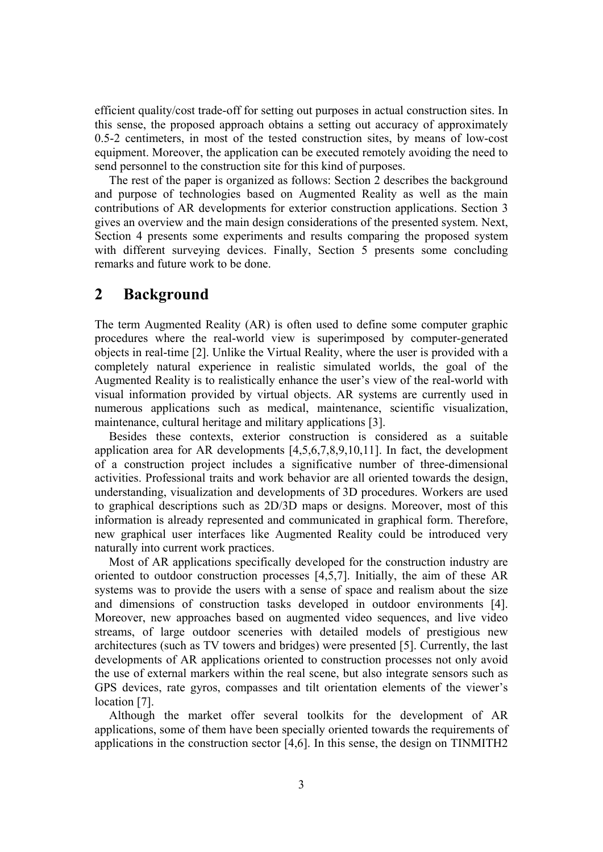efficient quality/cost trade-off for setting out purposes in actual construction sites. In this sense, the proposed approach obtains a setting out accuracy of approximately 0.5-2 centimeters, in most of the tested construction sites, by means of low-cost equipment. Moreover, the application can be executed remotely avoiding the need to send personnel to the construction site for this kind of purposes.

The rest of the paper is organized as follows: Section 2 describes the background and purpose of technologies based on Augmented Reality as well as the main contributions of AR developments for exterior construction applications. Section 3 gives an overview and the main design considerations of the presented system. Next, Section 4 presents some experiments and results comparing the proposed system with different surveying devices. Finally, Section 5 presents some concluding remarks and future work to be done.

### **2 Background**

The term Augmented Reality (AR) is often used to define some computer graphic procedures where the real-world view is superimposed by computer-generated objects in real-time [2]. Unlike the Virtual Reality, where the user is provided with a completely natural experience in realistic simulated worlds, the goal of the Augmented Reality is to realistically enhance the user's view of the real-world with visual information provided by virtual objects. AR systems are currently used in numerous applications such as medical, maintenance, scientific visualization, maintenance, cultural heritage and military applications [3].

Besides these contexts, exterior construction is considered as a suitable application area for AR developments [4,5,6,7,8,9,10,11]. In fact, the development of a construction project includes a significative number of three-dimensional activities. Professional traits and work behavior are all oriented towards the design, understanding, visualization and developments of 3D procedures. Workers are used to graphical descriptions such as 2D/3D maps or designs. Moreover, most of this information is already represented and communicated in graphical form. Therefore, new graphical user interfaces like Augmented Reality could be introduced very naturally into current work practices.

Most of AR applications specifically developed for the construction industry are oriented to outdoor construction processes [4,5,7]. Initially, the aim of these AR systems was to provide the users with a sense of space and realism about the size and dimensions of construction tasks developed in outdoor environments [4]. Moreover, new approaches based on augmented video sequences, and live video streams, of large outdoor sceneries with detailed models of prestigious new architectures (such as TV towers and bridges) were presented [5]. Currently, the last developments of AR applications oriented to construction processes not only avoid the use of external markers within the real scene, but also integrate sensors such as GPS devices, rate gyros, compasses and tilt orientation elements of the viewer's location [7].

Although the market offer several toolkits for the development of AR applications, some of them have been specially oriented towards the requirements of applications in the construction sector [4,6]. In this sense, the design on TINMITH2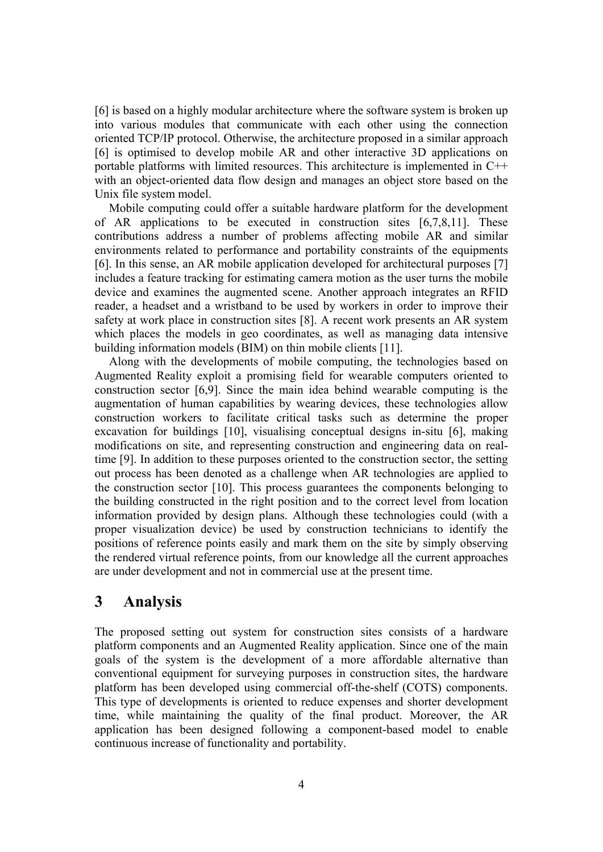[6] is based on a highly modular architecture where the software system is broken up into various modules that communicate with each other using the connection oriented TCP/IP protocol. Otherwise, the architecture proposed in a similar approach [6] is optimised to develop mobile AR and other interactive 3D applications on portable platforms with limited resources. This architecture is implemented in C++ with an object-oriented data flow design and manages an object store based on the Unix file system model.

Mobile computing could offer a suitable hardware platform for the development of AR applications to be executed in construction sites [6,7,8,11]. These contributions address a number of problems affecting mobile AR and similar environments related to performance and portability constraints of the equipments [6]. In this sense, an AR mobile application developed for architectural purposes [7] includes a feature tracking for estimating camera motion as the user turns the mobile device and examines the augmented scene. Another approach integrates an RFID reader, a headset and a wristband to be used by workers in order to improve their safety at work place in construction sites [8]. A recent work presents an AR system which places the models in geo coordinates, as well as managing data intensive building information models (BIM) on thin mobile clients [11].

Along with the developments of mobile computing, the technologies based on Augmented Reality exploit a promising field for wearable computers oriented to construction sector [6,9]. Since the main idea behind wearable computing is the augmentation of human capabilities by wearing devices, these technologies allow construction workers to facilitate critical tasks such as determine the proper excavation for buildings [10], visualising conceptual designs in-situ [6], making modifications on site, and representing construction and engineering data on realtime [9]. In addition to these purposes oriented to the construction sector, the setting out process has been denoted as a challenge when AR technologies are applied to the construction sector [10]. This process guarantees the components belonging to the building constructed in the right position and to the correct level from location information provided by design plans. Although these technologies could (with a proper visualization device) be used by construction technicians to identify the positions of reference points easily and mark them on the site by simply observing the rendered virtual reference points, from our knowledge all the current approaches are under development and not in commercial use at the present time.

### **3 Analysis**

The proposed setting out system for construction sites consists of a hardware platform components and an Augmented Reality application. Since one of the main goals of the system is the development of a more affordable alternative than conventional equipment for surveying purposes in construction sites, the hardware platform has been developed using commercial off-the-shelf (COTS) components. This type of developments is oriented to reduce expenses and shorter development time, while maintaining the quality of the final product. Moreover, the AR application has been designed following a component-based model to enable continuous increase of functionality and portability.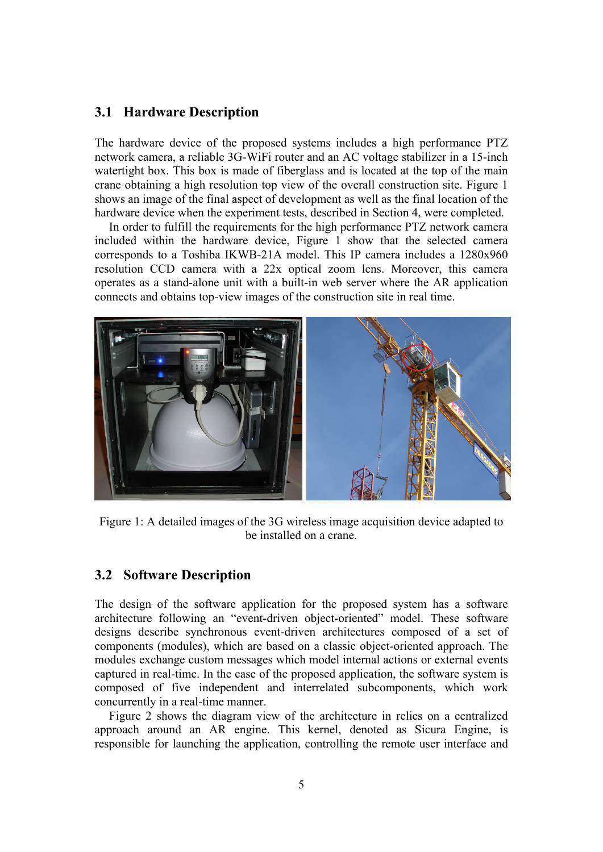#### **3.1 Hardware Description**

The hardware device of the proposed systems includes a high performance PTZ network camera, a reliable 3G-WiFi router and an AC voltage stabilizer in a 15-inch watertight box. This box is made of fiberglass and is located at the top of the main crane obtaining a high resolution top view of the overall construction site. Figure 1 shows an image of the final aspect of development as well as the final location of the hardware device when the experiment tests, described in Section 4, were completed.

In order to fulfill the requirements for the high performance PTZ network camera included within the hardware device, Figure 1 show that the selected camera corresponds to a Toshiba IKWB-21A model. This IP camera includes a 1280x960 resolution CCD camera with a 22x optical zoom lens. Moreover, this camera operates as a stand-alone unit with a built-in web server where the AR application connects and obtains top-view images of the construction site in real time.



Figure 1: A detailed images of the 3G wireless image acquisition device adapted to be installed on a crane.

#### **3.2 Software Description**

The design of the software application for the proposed system has a software architecture following an "event-driven object-oriented" model. These software designs describe synchronous event-driven architectures composed of a set of components (modules), which are based on a classic object-oriented approach. The modules exchange custom messages which model internal actions or external events captured in real-time. In the case of the proposed application, the software system is composed of five independent and interrelated subcomponents, which work concurrently in a real-time manner.

Figure 2 shows the diagram view of the architecture in relies on a centralized approach around an AR engine. This kernel, denoted as Sicura Engine, is responsible for launching the application, controlling the remote user interface and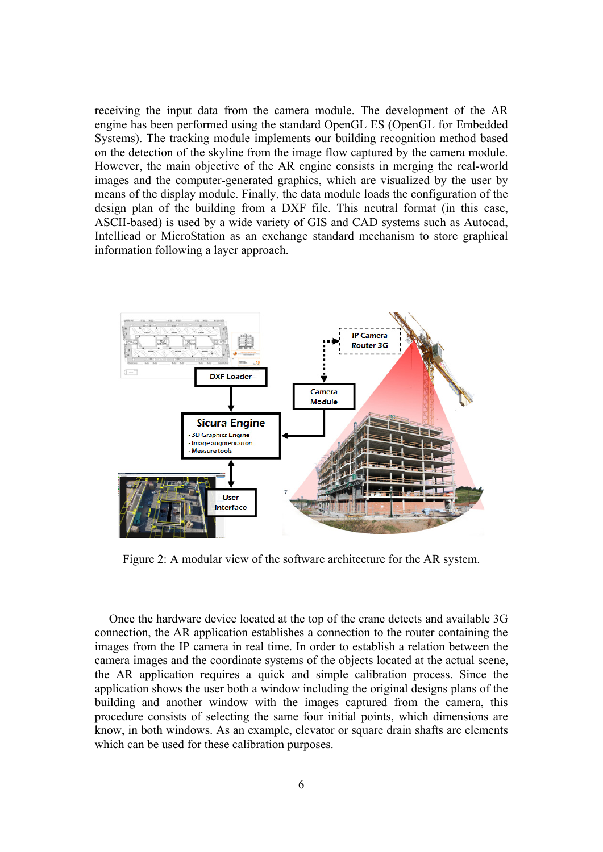receiving the input data from the camera module. The development of the AR engine has been performed using the standard OpenGL ES (OpenGL for Embedded Systems). The tracking module implements our building recognition method based on the detection of the skyline from the image flow captured by the camera module. However, the main objective of the AR engine consists in merging the real-world images and the computer-generated graphics, which are visualized by the user by means of the display module. Finally, the data module loads the configuration of the design plan of the building from a DXF file. This neutral format (in this case, ASCII-based) is used by a wide variety of GIS and CAD systems such as Autocad, Intellicad or MicroStation as an exchange standard mechanism to store graphical information following a layer approach.



Figure 2: A modular view of the software architecture for the AR system.

Once the hardware device located at the top of the crane detects and available 3G connection, the AR application establishes a connection to the router containing the images from the IP camera in real time. In order to establish a relation between the camera images and the coordinate systems of the objects located at the actual scene, the AR application requires a quick and simple calibration process. Since the application shows the user both a window including the original designs plans of the building and another window with the images captured from the camera, this procedure consists of selecting the same four initial points, which dimensions are know, in both windows. As an example, elevator or square drain shafts are elements which can be used for these calibration purposes.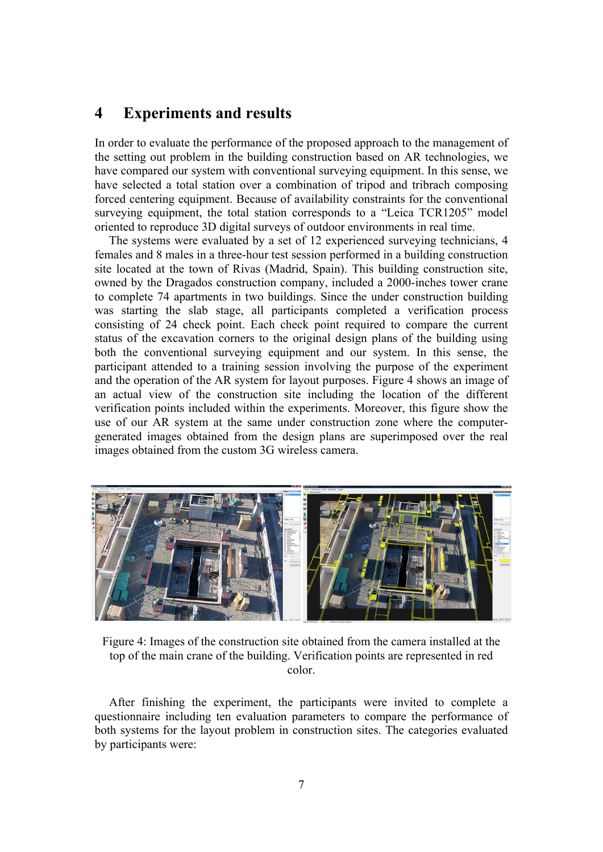## **4 Experiments and results**

In order to evaluate the performance of the proposed approach to the management of the setting out problem in the building construction based on AR technologies, we have compared our system with conventional surveying equipment. In this sense, we have selected a total station over a combination of tripod and tribrach composing forced centering equipment. Because of availability constraints for the conventional surveying equipment, the total station corresponds to a "Leica TCR1205" model oriented to reproduce 3D digital surveys of outdoor environments in real time.

The systems were evaluated by a set of 12 experienced surveying technicians, 4 females and 8 males in a three-hour test session performed in a building construction site located at the town of Rivas (Madrid, Spain). This building construction site, owned by the Dragados construction company, included a 2000-inches tower crane to complete 74 apartments in two buildings. Since the under construction building was starting the slab stage, all participants completed a verification process consisting of 24 check point. Each check point required to compare the current status of the excavation corners to the original design plans of the building using both the conventional surveying equipment and our system. In this sense, the participant attended to a training session involving the purpose of the experiment and the operation of the AR system for layout purposes. Figure 4 shows an image of an actual view of the construction site including the location of the different verification points included within the experiments. Moreover, this figure show the use of our AR system at the same under construction zone where the computergenerated images obtained from the design plans are superimposed over the real images obtained from the custom 3G wireless camera.



Figure 4: Images of the construction site obtained from the camera installed at the top of the main crane of the building. Verification points are represented in red color.

After finishing the experiment, the participants were invited to complete a questionnaire including ten evaluation parameters to compare the performance of both systems for the layout problem in construction sites. The categories evaluated by participants were: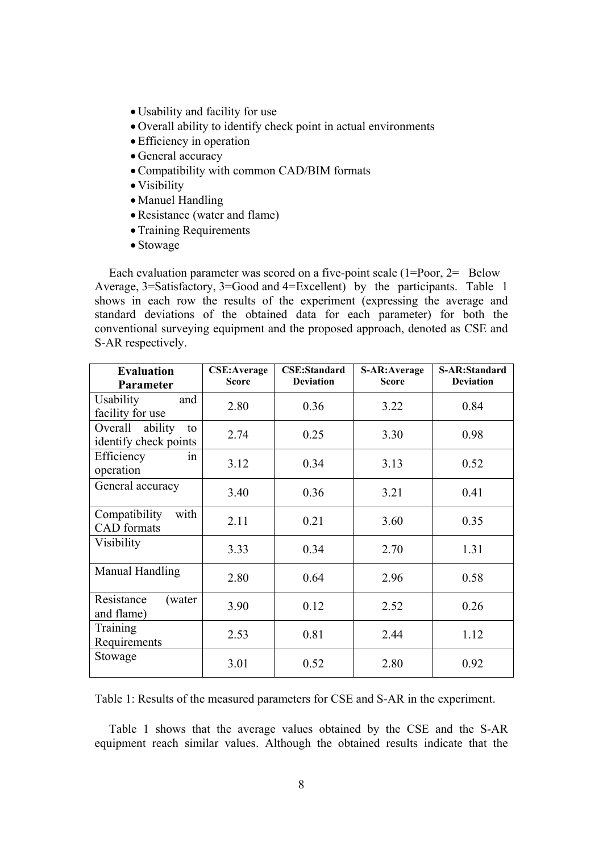- Usability and facility for use
- Overall ability to identify check point in actual environments
- •Efficiency in operation
- General accuracy
- •Compatibility with common CAD/BIM formats
- Visibility
- Manuel Handling
- •Resistance (water and flame)
- •Training Requirements
- Stowage

Each evaluation parameter was scored on a five-point scale (1=Poor, 2= Below Average, 3=Satisfactory, 3=Good and 4= Excellent) by the participants. Table 1 shows in each row the results of the experiment (expressing the average and standard deviations of the obtained data for each parameter) for both the conventional surveying equipment and the proposed approach, denoted as CSE and S-AR respectively.

| <b>Evaluation</b>       | <b>CSE:Average</b><br><b>Score</b> | <b>CSE:Standard</b><br><b>Deviation</b> | S-AR: Average<br><b>Score</b> | <b>S-AR:Standard</b><br><b>Deviation</b> |
|-------------------------|------------------------------------|-----------------------------------------|-------------------------------|------------------------------------------|
| Parameter               |                                    |                                         |                               |                                          |
| <b>Usability</b><br>and | 2.80                               | 0.36                                    | 3.22                          | 0.84                                     |
| facility for use        |                                    |                                         |                               |                                          |
| Overall ability<br>to   | 2.74                               | 0.25                                    | 3.30                          | 0.98                                     |
| identify check points   |                                    |                                         |                               |                                          |
| Efficiency<br>1n        | 3.12                               | 0.34                                    | 3.13                          | 0.52                                     |
| operation               |                                    |                                         |                               |                                          |
| General accuracy        |                                    |                                         |                               |                                          |
|                         | 3.40                               | 0.36                                    | 3.21                          | 0.41                                     |
| with<br>Compatibility   | 2.11                               | 0.21                                    | 3.60                          | 0.35                                     |
| <b>CAD</b> formats      |                                    |                                         |                               |                                          |
| Visibility              |                                    |                                         |                               |                                          |
|                         | 3.33                               | 0.34                                    | 2.70                          | 1.31                                     |
| Manual Handling         |                                    |                                         |                               |                                          |
|                         | 2.80                               | 0.64                                    | 2.96                          | 0.58                                     |
| Resistance<br>(water)   | 3.90                               | 0.12                                    | 2.52                          | 0.26                                     |
| and flame)              |                                    |                                         |                               |                                          |
| Training                | 2.53                               | 0.81                                    | 2.44                          | 1.12                                     |
| Requirements            |                                    |                                         |                               |                                          |
| Stowage                 | 3.01                               | 0.52                                    | 2.80                          | 0.92                                     |
|                         |                                    |                                         |                               |                                          |

Table 1: Results of the measured parameters for CSE and S-AR in the experiment.

Table 1 shows that the average values obtained by the CSE and the S-AR equipment reach similar values. Although the obtained results indicate that the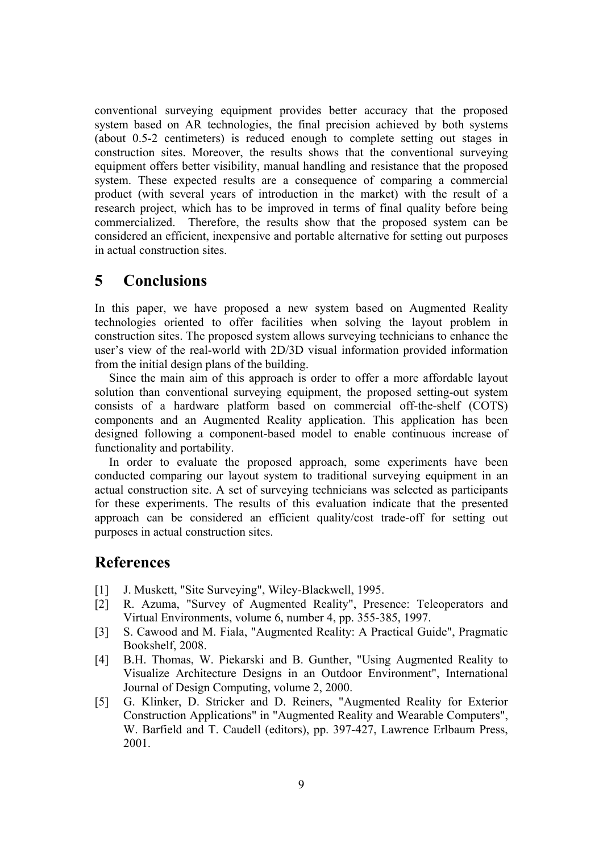conventional surveying equipment provides better accuracy that the proposed system based on AR technologies, the final precision achieved by both systems (about 0.5-2 centimeters) is reduced enough to complete setting out stages in construction sites. Moreover, the results shows that the conventional surveying equipment offers better visibility, manual handling and resistance that the proposed system. These expected results are a consequence of comparing a commercial product (with several years of introduction in the market) with the result of a research project, which has to be improved in terms of final quality before being commercialized. Therefore, the results show that the proposed system can be considered an efficient, inexpensive and portable alternative for setting out purposes in actual construction sites.

## **5 Conclusions**

In this paper, we have proposed a new system based on Augmented Reality technologies oriented to offer facilities when solving the layout problem in construction sites. The proposed system allows surveying technicians to enhance the user's view of the real-world with 2D/3D visual information provided information from the initial design plans of the building.

Since the main aim of this approach is order to offer a more affordable layout solution than conventional surveying equipment, the proposed setting-out system consists of a hardware platform based on commercial off-the-shelf (COTS) components and an Augmented Reality application. This application has been designed following a component-based model to enable continuous increase of functionality and portability.

In order to evaluate the proposed approach, some experiments have been conducted comparing our layout system to traditional surveying equipment in an actual construction site. A set of surveying technicians was selected as participants for these experiments. The results of this evaluation indicate that the presented approach can be considered an efficient quality/cost trade-off for setting out purposes in actual construction sites.

## **References**

- [1] J. Muskett, "Site Surveying", Wiley-Blackwell, 1995.
- [2] R. Azuma, "Survey of Augmented Reality", Presence: Teleoperators and Virtual Environments, volume 6, number 4, pp. 355-385, 1997.
- [3] S. Cawood and M. Fiala, "Augmented Reality: A Practical Guide", Pragmatic Bookshelf, 2008.
- [4] B.H. Thomas, W. Piekarski and B. Gunther, "Using Augmented Reality to Visualize Architecture Designs in an Outdoor Environment", International Journal of Design Computing, volume 2, 2000.
- [5] G. Klinker, D. Stricker and D. Reiners, "Augmented Reality for Exterior Construction Applications" in "Augmented Reality and Wearable Computers", W. Barfield and T. Caudell (editors), pp. 397-427, Lawrence Erlbaum Press, 2001.